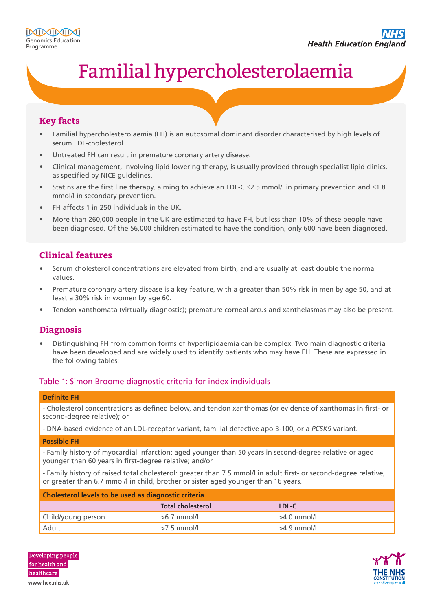# Familial hypercholesterolaemia

## **Key facts**

- Familial hypercholesterolaemia (FH) is an autosomal dominant disorder characterised by high levels of serum LDL-cholesterol.
- Untreated FH can result in premature coronary artery disease.
- Clinical management, involving lipid lowering therapy, is usually provided through specialist lipid clinics, as specified by NICE guidelines.
- Statins are the first line therapy, aiming to achieve an LDL-C ≤2.5 mmol/l in primary prevention and ≤1.8 mmol/l in secondary prevention.
- FH affects 1 in 250 individuals in the UK.
- More than 260,000 people in the UK are estimated to have FH, but less than 10% of these people have been diagnosed. Of the 56,000 children estimated to have the condition, only 600 have been diagnosed.

# **Clinical features**

- Serum cholesterol concentrations are elevated from birth, and are usually at least double the normal values.
- Premature coronary artery disease is a key feature, with a greater than 50% risk in men by age 50, and at least a 30% risk in women by age 60.
- Tendon xanthomata (virtually diagnostic); premature corneal arcus and xanthelasmas may also be present.

## **Diagnosis**

• Distinguishing FH from common forms of hyperlipidaemia can be complex. Two main diagnostic criteria have been developed and are widely used to identify patients who may have FH. These are expressed in the following tables:

#### Table 1: Simon Broome diagnostic criteria for index individuals

#### **Definite FH**

- Cholesterol concentrations as defined below, and tendon xanthomas (or evidence of xanthomas in first- or second-degree relative); or

- DNA-based evidence of an LDL-receptor variant, familial defective apo B-100, or a *PCSK9* variant.

#### **Possible FH**

- Family history of myocardial infarction: aged younger than 50 years in second-degree relative or aged younger than 60 years in first-degree relative; and/or

- Family history of raised total cholesterol: greater than 7.5 mmol/l in adult first- or second-degree relative, or greater than 6.7 mmol/l in child, brother or sister aged younger than 16 years.

| Cholesterol levels to be used as diagnostic criteria |                          |               |  |
|------------------------------------------------------|--------------------------|---------------|--|
|                                                      | <b>Total cholesterol</b> | LDL-C         |  |
| Child/young person                                   | $>6.7$ mmol/l            | $>4.0$ mmol/l |  |
| l Adult                                              | $>7.5$ mmol/l            | $>4.9$ mmol/  |  |

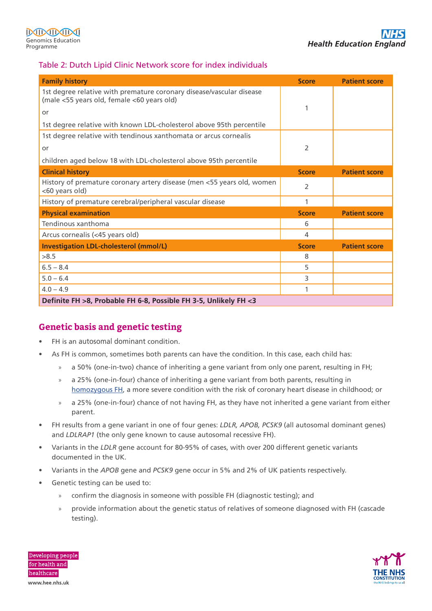### Table 2: Dutch Lipid Clinic Network score for index individuals

| <b>Family history</b>                                                                                              | <b>Score</b> | <b>Patient score</b> |  |
|--------------------------------------------------------------------------------------------------------------------|--------------|----------------------|--|
| 1st degree relative with premature coronary disease/vascular disease<br>(male <55 years old, female <60 years old) |              |                      |  |
| or                                                                                                                 | 1            |                      |  |
| 1st degree relative with known LDL-cholesterol above 95th percentile                                               |              |                      |  |
| 1st degree relative with tendinous xanthomata or arcus cornealis                                                   |              |                      |  |
| or                                                                                                                 | 2            |                      |  |
| children aged below 18 with LDL-cholesterol above 95th percentile                                                  |              |                      |  |
| <b>Clinical history</b>                                                                                            | <b>Score</b> | <b>Patient score</b> |  |
| History of premature coronary artery disease (men <55 years old, women<br><60 years old)                           | 2            |                      |  |
| History of premature cerebral/peripheral vascular disease                                                          | 1            |                      |  |
| <b>Physical examination</b>                                                                                        | <b>Score</b> | <b>Patient score</b> |  |
| Tendinous xanthoma                                                                                                 | 6            |                      |  |
| Arcus cornealis (<45 years old)                                                                                    | 4            |                      |  |
| <b>Investigation LDL-cholesterol (mmol/L)</b>                                                                      | <b>Score</b> | <b>Patient score</b> |  |
| >8.5                                                                                                               | 8            |                      |  |
| $6.5 - 8.4$                                                                                                        | 5            |                      |  |
| $5.0 - 6.4$                                                                                                        | 3            |                      |  |
| $4.0 - 4.9$                                                                                                        | 1            |                      |  |
| Definite FH >8, Probable FH 6-8, Possible FH 3-5, Unlikely FH <3                                                   |              |                      |  |

# **Genetic basis and genetic testing**

- FH is an autosomal dominant condition.
- As FH is common, sometimes both parents can have the condition. In this case, each child has:
	- » a 50% (one-in-two) chance of inheriting a gene variant from only one parent, resulting in FH;
	- » a 25% (one-in-four) chance of inheriting a gene variant from both parents, resulting in [homozygous FH](https://www.heartuk.org.uk/genetic-conditions/homozygous-familial-hypercholesterolaemia-hofh), a more severe condition with the risk of coronary heart disease in childhood; or
	- » a 25% (one-in-four) chance of not having FH, as they have not inherited a gene variant from either parent.
- FH results from a gene variant in one of four genes: *LDLR, APOB, PCSK9* (all autosomal dominant genes) and *LDLRAP1* (the only gene known to cause autosomal recessive FH).
- Variants in the *LDLR* gene account for 80-95% of cases, with over 200 different genetic variants documented in the UK.
- Variants in the *APOB* gene and *PCSK9* gene occur in 5% and 2% of UK patients respectively.
- Genetic testing can be used to:
	- » confirm the diagnosis in someone with possible FH (diagnostic testing); and
	- » provide information about the genetic status of relatives of someone diagnosed with FH (cascade testing).